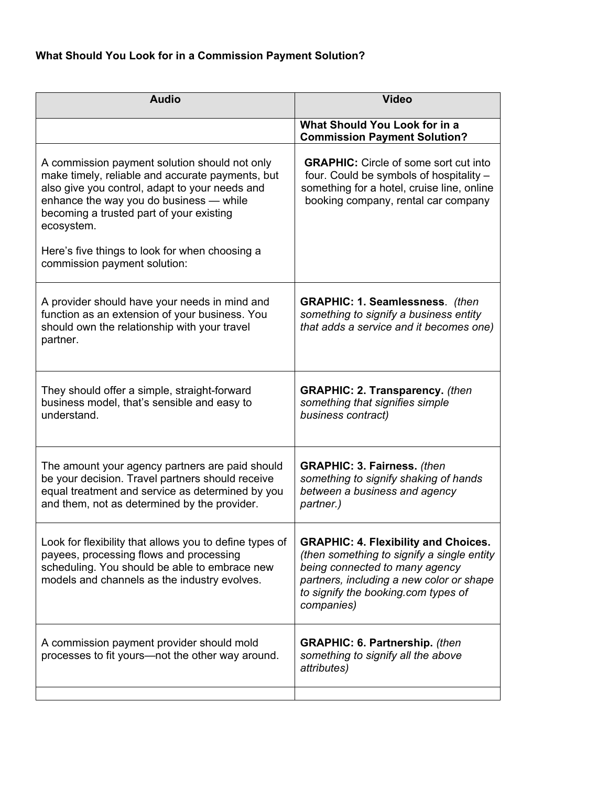| <b>Audio</b>                                                                                                                                                                                                                                                                                                                               | <b>Video</b>                                                                                                                                                                                                                 |
|--------------------------------------------------------------------------------------------------------------------------------------------------------------------------------------------------------------------------------------------------------------------------------------------------------------------------------------------|------------------------------------------------------------------------------------------------------------------------------------------------------------------------------------------------------------------------------|
|                                                                                                                                                                                                                                                                                                                                            | What Should You Look for in a<br><b>Commission Payment Solution?</b>                                                                                                                                                         |
| A commission payment solution should not only<br>make timely, reliable and accurate payments, but<br>also give you control, adapt to your needs and<br>enhance the way you do business - while<br>becoming a trusted part of your existing<br>ecosystem.<br>Here's five things to look for when choosing a<br>commission payment solution: | <b>GRAPHIC:</b> Circle of some sort cut into<br>four. Could be symbols of hospitality -<br>something for a hotel, cruise line, online<br>booking company, rental car company                                                 |
| A provider should have your needs in mind and<br>function as an extension of your business. You<br>should own the relationship with your travel<br>partner.                                                                                                                                                                                | <b>GRAPHIC: 1. Seamlessness.</b> (then<br>something to signify a business entity<br>that adds a service and it becomes one)                                                                                                  |
| They should offer a simple, straight-forward<br>business model, that's sensible and easy to<br>understand.                                                                                                                                                                                                                                 | <b>GRAPHIC: 2. Transparency.</b> (then<br>something that signifies simple<br>business contract)                                                                                                                              |
| The amount your agency partners are paid should<br>be your decision. Travel partners should receive<br>equal treatment and service as determined by you<br>and them, not as determined by the provider.                                                                                                                                    | <b>GRAPHIC: 3. Fairness. (then</b><br>something to signify shaking of hands<br>between a business and agency<br>partner.)                                                                                                    |
| Look for flexibility that allows you to define types of<br>payees, processing flows and processing<br>scheduling. You should be able to embrace new<br>models and channels as the industry evolves.                                                                                                                                        | <b>GRAPHIC: 4. Flexibility and Choices.</b><br>(then something to signify a single entity<br>being connected to many agency<br>partners, including a new color or shape<br>to signify the booking.com types of<br>companies) |
| A commission payment provider should mold<br>processes to fit yours—not the other way around.                                                                                                                                                                                                                                              | <b>GRAPHIC: 6. Partnership.</b> (then<br>something to signify all the above<br>attributes)                                                                                                                                   |
|                                                                                                                                                                                                                                                                                                                                            |                                                                                                                                                                                                                              |